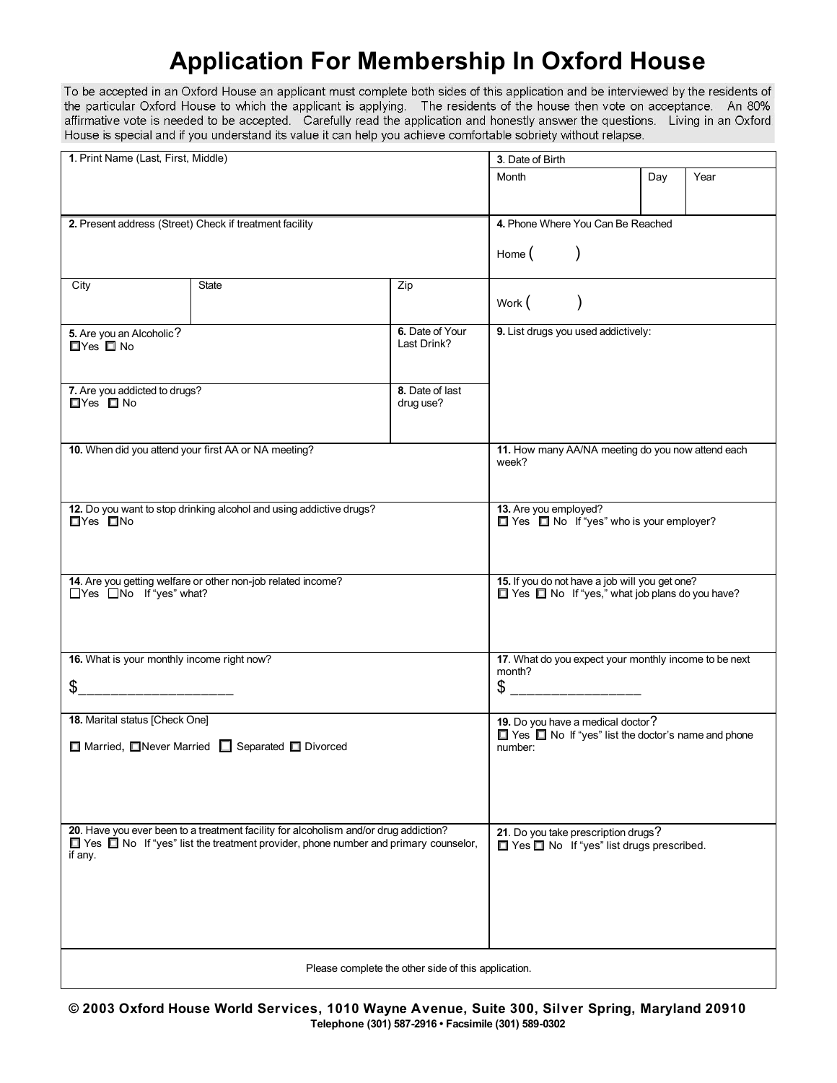## **Application For Membership In Oxford House**

To be accepted in an Oxford House an applicant must complete both sides of this application and be interviewed by the residents of the particular Oxford House to which the applicant is applying. The residents of the house then vote on acceptance. An 80% affirmative vote is needed to be accepted. Carefully read the application and honestly answer the questions. Living in an Oxford House is special and if you understand its value it can help you achieve comfortable sobriety without relapse.

| 1. Print Name (Last, First, Middle)                                                                       |                                                                                   |                                   | 3. Date of Birth                                                      |  |     |      |  |
|-----------------------------------------------------------------------------------------------------------|-----------------------------------------------------------------------------------|-----------------------------------|-----------------------------------------------------------------------|--|-----|------|--|
|                                                                                                           |                                                                                   |                                   | Month                                                                 |  | Day | Year |  |
|                                                                                                           |                                                                                   |                                   |                                                                       |  |     |      |  |
|                                                                                                           |                                                                                   |                                   |                                                                       |  |     |      |  |
| 2. Present address (Street) Check if treatment facility                                                   |                                                                                   |                                   | 4. Phone Where You Can Be Reached                                     |  |     |      |  |
|                                                                                                           |                                                                                   |                                   | Home $($                                                              |  |     |      |  |
|                                                                                                           |                                                                                   |                                   |                                                                       |  |     |      |  |
| <b>State</b><br>City<br>Zip                                                                               |                                                                                   |                                   |                                                                       |  |     |      |  |
|                                                                                                           |                                                                                   |                                   |                                                                       |  |     |      |  |
|                                                                                                           |                                                                                   |                                   | Work ( )                                                              |  |     |      |  |
| 5. Are you an Alcoholic?                                                                                  |                                                                                   | 6. Date of Your                   | 9. List drugs you used addictively:                                   |  |     |      |  |
| □Yes □ No                                                                                                 |                                                                                   | Last Drink?                       |                                                                       |  |     |      |  |
|                                                                                                           |                                                                                   |                                   |                                                                       |  |     |      |  |
|                                                                                                           |                                                                                   |                                   |                                                                       |  |     |      |  |
| 7. Are you addicted to drugs?<br>$\Box$ Yes $\Box$ No                                                     |                                                                                   | 8. Date of last<br>drug use?      |                                                                       |  |     |      |  |
|                                                                                                           |                                                                                   |                                   |                                                                       |  |     |      |  |
|                                                                                                           |                                                                                   |                                   |                                                                       |  |     |      |  |
| 10. When did you attend your first AA or NA meeting?                                                      |                                                                                   |                                   | 11. How many AA/NA meeting do you now attend each                     |  |     |      |  |
|                                                                                                           |                                                                                   |                                   | week?                                                                 |  |     |      |  |
|                                                                                                           |                                                                                   |                                   |                                                                       |  |     |      |  |
|                                                                                                           |                                                                                   |                                   |                                                                       |  |     |      |  |
| 12. Do you want to stop drinking alcohol and using addictive drugs?<br>$\Box$ Yes $\Box$ No               |                                                                                   |                                   | 13. Are you employed?<br>Yes $\Box$ No If "yes" who is your employer? |  |     |      |  |
|                                                                                                           |                                                                                   |                                   |                                                                       |  |     |      |  |
|                                                                                                           |                                                                                   |                                   |                                                                       |  |     |      |  |
|                                                                                                           |                                                                                   |                                   |                                                                       |  |     |      |  |
| 14. Are you getting welfare or other non-job related income?                                              |                                                                                   |                                   | 15. If you do not have a job will you get one?                        |  |     |      |  |
| □Yes □No If "yes" what?                                                                                   |                                                                                   |                                   | Yes No If "yes," what job plans do you have?                          |  |     |      |  |
|                                                                                                           |                                                                                   |                                   |                                                                       |  |     |      |  |
|                                                                                                           |                                                                                   |                                   |                                                                       |  |     |      |  |
|                                                                                                           |                                                                                   |                                   |                                                                       |  |     |      |  |
| 16. What is your monthly income right now?                                                                |                                                                                   |                                   | 17. What do you expect your monthly income to be next<br>month?       |  |     |      |  |
| $\mathfrak{S}$                                                                                            |                                                                                   |                                   | $\circ$ _____________________                                         |  |     |      |  |
|                                                                                                           |                                                                                   |                                   |                                                                       |  |     |      |  |
| 18. Marital status [Check One]                                                                            |                                                                                   | 19. Do you have a medical doctor? |                                                                       |  |     |      |  |
|                                                                                                           |                                                                                   |                                   | Yes $\Box$ No If "yes" list the doctor's name and phone               |  |     |      |  |
| □ Married, ■Never Married ■ Separated ■ Divorced                                                          |                                                                                   |                                   | number:                                                               |  |     |      |  |
|                                                                                                           |                                                                                   |                                   |                                                                       |  |     |      |  |
|                                                                                                           |                                                                                   |                                   |                                                                       |  |     |      |  |
|                                                                                                           |                                                                                   |                                   |                                                                       |  |     |      |  |
| 20. Have you ever been to a treatment facility for alcoholism and/or drug addiction?                      | 21. Do you take prescription drugs?<br>□ Yes □ No If "yes" list drugs prescribed. |                                   |                                                                       |  |     |      |  |
| $\Box$ Yes $\Box$ No If "yes" list the treatment provider, phone number and primary counselor,<br>if any. |                                                                                   |                                   |                                                                       |  |     |      |  |
|                                                                                                           |                                                                                   |                                   |                                                                       |  |     |      |  |
|                                                                                                           |                                                                                   |                                   |                                                                       |  |     |      |  |
|                                                                                                           |                                                                                   |                                   |                                                                       |  |     |      |  |
|                                                                                                           |                                                                                   |                                   |                                                                       |  |     |      |  |
|                                                                                                           |                                                                                   |                                   |                                                                       |  |     |      |  |
| Please complete the other side of this application.                                                       |                                                                                   |                                   |                                                                       |  |     |      |  |
|                                                                                                           |                                                                                   |                                   |                                                                       |  |     |      |  |

**© 2003 Oxford House World Services, 1010 Wayne Avenue, Suite 300, Silver Spring, Maryland 20910 Telephone (301) 587-2916 • Facsimile (301) 589-0302**